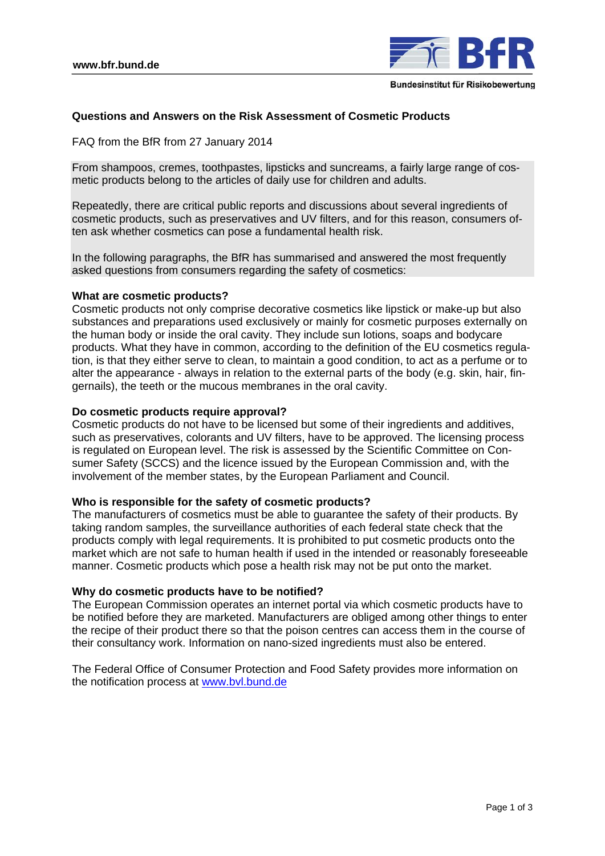

# **Questions and Answers on the Risk Assessment of Cosmetic Products**

FAQ from the BfR from 27 January 2014

From shampoos, cremes, toothpastes, lipsticks and suncreams, a fairly large range of cosmetic products belong to the articles of daily use for children and adults.

Repeatedly, there are critical public reports and discussions about several ingredients of cosmetic products, such as preservatives and UV filters, and for this reason, consumers often ask whether cosmetics can pose a fundamental health risk.

In the following paragraphs, the BfR has summarised and answered the most frequently asked questions from consumers regarding the safety of cosmetics:

## **What are cosmetic products?**

Cosmetic products not only comprise decorative cosmetics like lipstick or make-up but also substances and preparations used exclusively or mainly for cosmetic purposes externally on the human body or inside the oral cavity. They include sun lotions, soaps and bodycare products. What they have in common, according to the definition of the EU cosmetics regulation, is that they either serve to clean, to maintain a good condition, to act as a perfume or to alter the appearance - always in relation to the external parts of the body (e.g. skin, hair, fingernails), the teeth or the mucous membranes in the oral cavity.

## **Do cosmetic products require approval?**

Cosmetic products do not have to be licensed but some of their ingredients and additives, such as preservatives, colorants and UV filters, have to be approved. The licensing process is regulated on European level. The risk is assessed by the Scientific Committee on Consumer Safety (SCCS) and the licence issued by the European Commission and, with the involvement of the member states, by the European Parliament and Council.

# **Who is responsible for the safety of cosmetic products?**

The manufacturers of cosmetics must be able to guarantee the safety of their products. By taking random samples, the surveillance authorities of each federal state check that the products comply with legal requirements. It is prohibited to put cosmetic products onto the market which are not safe to human health if used in the intended or reasonably foreseeable manner. Cosmetic products which pose a health risk may not be put onto the market.

# **Why do cosmetic products have to be notified?**

The European Commission operates an internet portal via which cosmetic products have to be notified before they are marketed. Manufacturers are obliged among other things to enter the recipe of their product there so that the poison centres can access them in the course of their consultancy work. Information on nano-sized ingredients must also be entered.

The Federal Office of Consumer Protection and Food Safety provides more information on the notification process at www.bvl.bund.de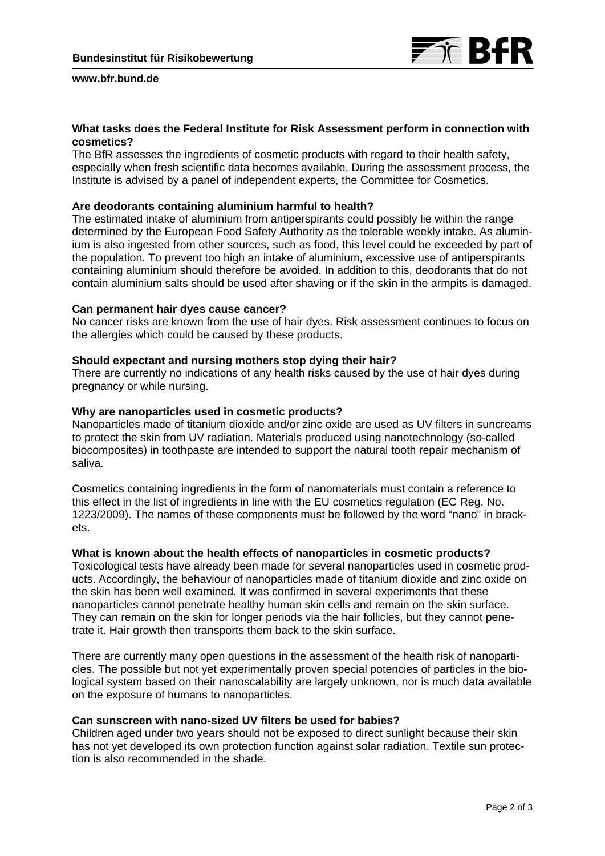

#### **www.bfr.bund.de**

# **What tasks does the Federal Institute for Risk Assessment perform in connection with cosmetics?**

The BfR assesses the ingredients of cosmetic products with regard to their health safety, especially when fresh scientific data becomes available. During the assessment process, the Institute is advised by a panel of independent experts, the Committee for Cosmetics.

# **Are deodorants containing aluminium harmful to health?**

The estimated intake of aluminium from antiperspirants could possibly lie within the range determined by the European Food Safety Authority as the tolerable weekly intake. As aluminium is also ingested from other sources, such as food, this level could be exceeded by part of the population. To prevent too high an intake of aluminium, excessive use of antiperspirants containing aluminium should therefore be avoided. In addition to this, deodorants that do not contain aluminium salts should be used after shaving or if the skin in the armpits is damaged.

#### **Can permanent hair dyes cause cancer?**

No cancer risks are known from the use of hair dyes. Risk assessment continues to focus on the allergies which could be caused by these products.

## **Should expectant and nursing mothers stop dying their hair?**

There are currently no indications of any health risks caused by the use of hair dyes during pregnancy or while nursing.

## **Why are nanoparticles used in cosmetic products?**

Nanoparticles made of titanium dioxide and/or zinc oxide are used as UV filters in suncreams to protect the skin from UV radiation. Materials produced using nanotechnology (so-called biocomposites) in toothpaste are intended to support the natural tooth repair mechanism of saliva.

Cosmetics containing ingredients in the form of nanomaterials must contain a reference to this effect in the list of ingredients in line with the EU cosmetics regulation (EC Reg. No. 1223/2009). The names of these components must be followed by the word "nano" in brackets.

#### **What is known about the health effects of nanoparticles in cosmetic products?**

Toxicological tests have already been made for several nanoparticles used in cosmetic products. Accordingly, the behaviour of nanoparticles made of titanium dioxide and zinc oxide on the skin has been well examined. It was confirmed in several experiments that these nanoparticles cannot penetrate healthy human skin cells and remain on the skin surface. They can remain on the skin for longer periods via the hair follicles, but they cannot penetrate it. Hair growth then transports them back to the skin surface.

There are currently many open questions in the assessment of the health risk of nanoparticles. The possible but not yet experimentally proven special potencies of particles in the biological system based on their nanoscalability are largely unknown, nor is much data available on the exposure of humans to nanoparticles.

#### **Can sunscreen with nano-sized UV filters be used for babies?**

Children aged under two years should not be exposed to direct sunlight because their skin has not yet developed its own protection function against solar radiation. Textile sun protection is also recommended in the shade.